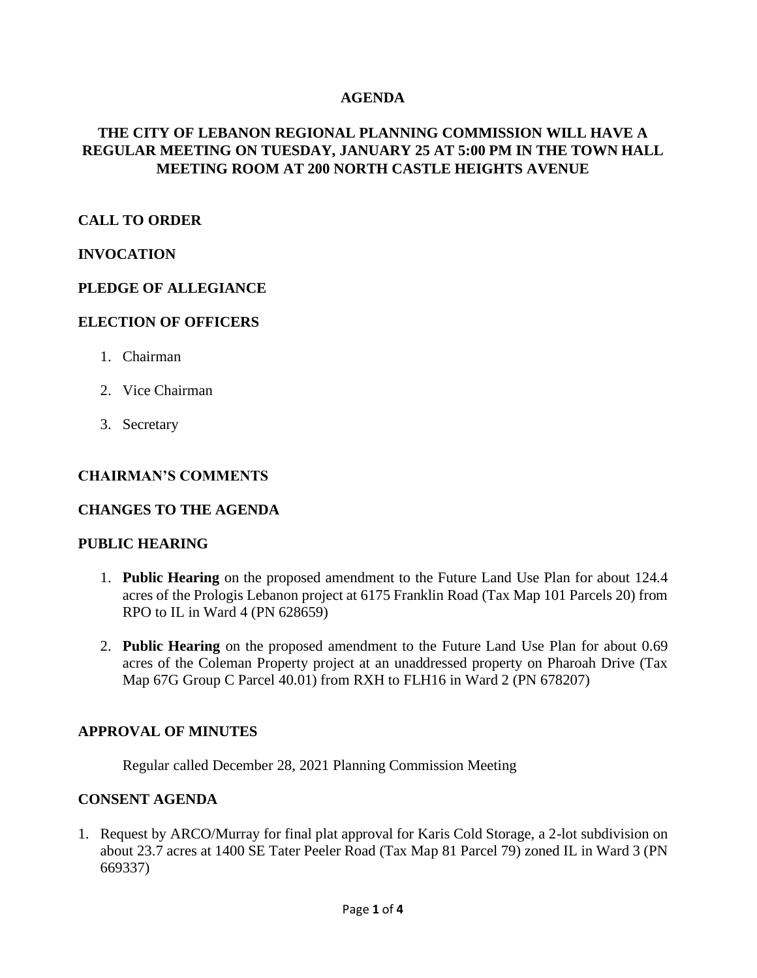### **AGENDA**

### **THE CITY OF LEBANON REGIONAL PLANNING COMMISSION WILL HAVE A REGULAR MEETING ON TUESDAY, JANUARY 25 AT 5:00 PM IN THE TOWN HALL MEETING ROOM AT 200 NORTH CASTLE HEIGHTS AVENUE**

### **CALL TO ORDER**

#### **INVOCATION**

#### **PLEDGE OF ALLEGIANCE**

#### **ELECTION OF OFFICERS**

- 1. Chairman
- 2. Vice Chairman
- 3. Secretary

#### **CHAIRMAN'S COMMENTS**

#### **CHANGES TO THE AGENDA**

#### **PUBLIC HEARING**

- 1. **Public Hearing** on the proposed amendment to the Future Land Use Plan for about 124.4 acres of the Prologis Lebanon project at 6175 Franklin Road (Tax Map 101 Parcels 20) from RPO to IL in Ward 4 (PN 628659)
- 2. **Public Hearing** on the proposed amendment to the Future Land Use Plan for about 0.69 acres of the Coleman Property project at an unaddressed property on Pharoah Drive (Tax Map 67G Group C Parcel 40.01) from RXH to FLH16 in Ward 2 (PN 678207)

#### **APPROVAL OF MINUTES**

Regular called December 28, 2021 Planning Commission Meeting

#### **CONSENT AGENDA**

1. Request by ARCO/Murray for final plat approval for Karis Cold Storage, a 2-lot subdivision on about 23.7 acres at 1400 SE Tater Peeler Road (Tax Map 81 Parcel 79) zoned IL in Ward 3 (PN 669337)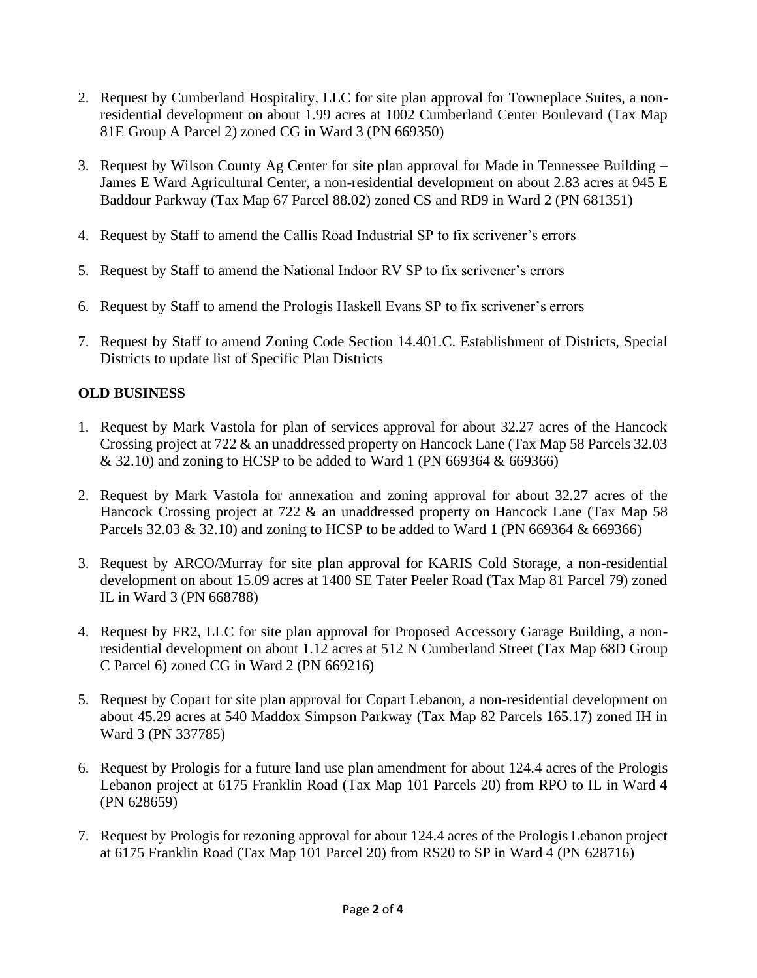- 2. Request by Cumberland Hospitality, LLC for site plan approval for Towneplace Suites, a nonresidential development on about 1.99 acres at 1002 Cumberland Center Boulevard (Tax Map 81E Group A Parcel 2) zoned CG in Ward 3 (PN 669350)
- 3. Request by Wilson County Ag Center for site plan approval for Made in Tennessee Building James E Ward Agricultural Center, a non-residential development on about 2.83 acres at 945 E Baddour Parkway (Tax Map 67 Parcel 88.02) zoned CS and RD9 in Ward 2 (PN 681351)
- 4. Request by Staff to amend the Callis Road Industrial SP to fix scrivener's errors
- 5. Request by Staff to amend the National Indoor RV SP to fix scrivener's errors
- 6. Request by Staff to amend the Prologis Haskell Evans SP to fix scrivener's errors
- 7. Request by Staff to amend Zoning Code Section 14.401.C. Establishment of Districts, Special Districts to update list of Specific Plan Districts

## **OLD BUSINESS**

- 1. Request by Mark Vastola for plan of services approval for about 32.27 acres of the Hancock Crossing project at 722 & an unaddressed property on Hancock Lane (Tax Map 58 Parcels 32.03 & 32.10) and zoning to HCSP to be added to Ward 1 (PN 669364 & 669366)
- 2. Request by Mark Vastola for annexation and zoning approval for about 32.27 acres of the Hancock Crossing project at 722 & an unaddressed property on Hancock Lane (Tax Map 58 Parcels 32.03 & 32.10) and zoning to HCSP to be added to Ward 1 (PN 669364 & 669366)
- 3. Request by ARCO/Murray for site plan approval for KARIS Cold Storage, a non-residential development on about 15.09 acres at 1400 SE Tater Peeler Road (Tax Map 81 Parcel 79) zoned IL in Ward 3 (PN 668788)
- 4. Request by FR2, LLC for site plan approval for Proposed Accessory Garage Building, a nonresidential development on about 1.12 acres at 512 N Cumberland Street (Tax Map 68D Group C Parcel 6) zoned CG in Ward 2 (PN 669216)
- 5. Request by Copart for site plan approval for Copart Lebanon, a non-residential development on about 45.29 acres at 540 Maddox Simpson Parkway (Tax Map 82 Parcels 165.17) zoned IH in Ward 3 (PN 337785)
- 6. Request by Prologis for a future land use plan amendment for about 124.4 acres of the Prologis Lebanon project at 6175 Franklin Road (Tax Map 101 Parcels 20) from RPO to IL in Ward 4 (PN 628659)
- 7. Request by Prologis for rezoning approval for about 124.4 acres of the Prologis Lebanon project at 6175 Franklin Road (Tax Map 101 Parcel 20) from RS20 to SP in Ward 4 (PN 628716)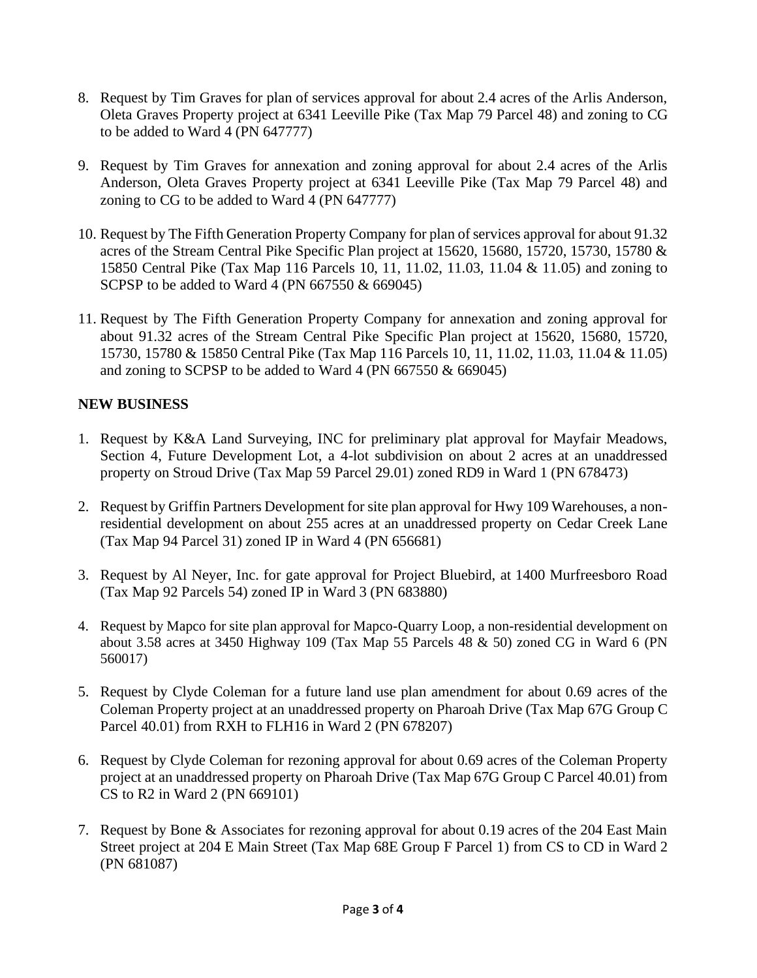- 8. Request by Tim Graves for plan of services approval for about 2.4 acres of the Arlis Anderson, Oleta Graves Property project at 6341 Leeville Pike (Tax Map 79 Parcel 48) and zoning to CG to be added to Ward 4 (PN 647777)
- 9. Request by Tim Graves for annexation and zoning approval for about 2.4 acres of the Arlis Anderson, Oleta Graves Property project at 6341 Leeville Pike (Tax Map 79 Parcel 48) and zoning to CG to be added to Ward 4 (PN 647777)
- 10. Request by The Fifth Generation Property Company for plan of services approval for about 91.32 acres of the Stream Central Pike Specific Plan project at 15620, 15680, 15720, 15730, 15780 & 15850 Central Pike (Tax Map 116 Parcels 10, 11, 11.02, 11.03, 11.04 & 11.05) and zoning to SCPSP to be added to Ward 4 (PN 667550 & 669045)
- 11. Request by The Fifth Generation Property Company for annexation and zoning approval for about 91.32 acres of the Stream Central Pike Specific Plan project at 15620, 15680, 15720, 15730, 15780 & 15850 Central Pike (Tax Map 116 Parcels 10, 11, 11.02, 11.03, 11.04 & 11.05) and zoning to SCPSP to be added to Ward 4 (PN 667550 & 669045)

# **NEW BUSINESS**

- 1. Request by K&A Land Surveying, INC for preliminary plat approval for Mayfair Meadows, Section 4, Future Development Lot, a 4-lot subdivision on about 2 acres at an unaddressed property on Stroud Drive (Tax Map 59 Parcel 29.01) zoned RD9 in Ward 1 (PN 678473)
- 2. Request by Griffin Partners Development for site plan approval for Hwy 109 Warehouses, a nonresidential development on about 255 acres at an unaddressed property on Cedar Creek Lane (Tax Map 94 Parcel 31) zoned IP in Ward 4 (PN 656681)
- 3. Request by Al Neyer, Inc. for gate approval for Project Bluebird, at 1400 Murfreesboro Road (Tax Map 92 Parcels 54) zoned IP in Ward 3 (PN 683880)
- 4. Request by Mapco for site plan approval for Mapco-Quarry Loop, a non-residential development on about 3.58 acres at 3450 Highway 109 (Tax Map 55 Parcels 48 & 50) zoned CG in Ward 6 (PN 560017)
- 5. Request by Clyde Coleman for a future land use plan amendment for about 0.69 acres of the Coleman Property project at an unaddressed property on Pharoah Drive (Tax Map 67G Group C Parcel 40.01) from RXH to FLH16 in Ward 2 (PN 678207)
- 6. Request by Clyde Coleman for rezoning approval for about 0.69 acres of the Coleman Property project at an unaddressed property on Pharoah Drive (Tax Map 67G Group C Parcel 40.01) from CS to R2 in Ward 2 (PN 669101)
- 7. Request by Bone & Associates for rezoning approval for about 0.19 acres of the 204 East Main Street project at 204 E Main Street (Tax Map 68E Group F Parcel 1) from CS to CD in Ward 2 (PN 681087)